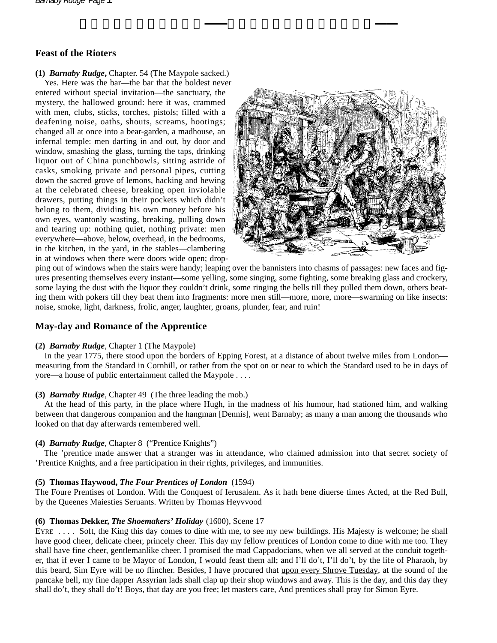# **Feast of the Rioters**

## **(1)** *Barnaby Rudge***,** Chapter. 54 (The Maypole sacked.)

Yes. Here was the bar—the bar that the boldest never entered without special invitation—the sanctuary, the mystery, the hallowed ground: here it was, crammed with men, clubs, sticks, torches, pistols; filled with a deafening noise, oaths, shouts, screams, hootings; changed all at once into a bear-garden, a madhouse, an infernal temple: men darting in and out, by door and window, smashing the glass, turning the taps, drinking liquor out of China punchbowls, sitting astride of casks, smoking private and personal pipes, cutting down the sacred grove of lemons, hacking and hewing at the celebrated cheese, breaking open inviolable drawers, putting things in their pockets which didn't belong to them, dividing his own money before his own eyes, wantonly wasting, breaking, pulling down and tearing up: nothing quiet, nothing private: men everywhere—above, below, overhead, in the bedrooms, in the kitchen, in the yard, in the stables—clambering in at windows when there were doors wide open; drop-



ping out of windows when the stairs were handy; leaping over the bannisters into chasms of passages: new faces and figures presenting themselves every instant—some yelling, some singing, some fighting, some breaking glass and crockery, some laying the dust with the liquor they couldn't drink, some ringing the bells till they pulled them down, others beating them with pokers till they beat them into fragments: more men still—more, more, more—swarming on like insects: noise, smoke, light, darkness, frolic, anger, laughter, groans, plunder, fear, and ruin!

## **May-day and Romance of the Apprentice**

## **(2)** *Barnaby Rudge*, Chapter 1 (The Maypole)

In the year 1775, there stood upon the borders of Epping Forest, at a distance of about twelve miles from London measuring from the Standard in Cornhill, or rather from the spot on or near to which the Standard used to be in days of yore—a house of public entertainment called the Maypole . . . .

## **(3)** *Barnaby Rudge*, Chapter 49 (The three leading the mob.)

At the head of this party, in the place where Hugh, in the madness of his humour, had stationed him, and walking between that dangerous companion and the hangman [Dennis], went Barnaby; as many a man among the thousands who looked on that day afterwards remembered well.

## **(4)** *Barnaby Rudge*, Chapter 8 ("Prentice Knights")

The 'prentice made answer that a stranger was in attendance, who claimed admission into that secret society of 'Prentice Knights, and a free participation in their rights, privileges, and immunities.

## **(5) Thomas Haywood,** *The Four Prentices of London* (1594)

The Foure Prentises of London. With the Conquest of Ierusalem. As it hath bene diuerse times Acted, at the Red Bull, by the Queenes Maiesties Seruants. Written by Thomas Heyvvood

## **(6) Thomas Dekker,** *The Shoemakers' Holiday* (1600), Scene 17

EYRE . . . . Soft, the King this day comes to dine with me, to see my new buildings. His Majesty is welcome; he shall have good cheer, delicate cheer, princely cheer. This day my fellow prentices of London come to dine with me too. They shall have fine cheer, gentlemanlike cheer. I promised the mad Cappadocians, when we all served at the conduit together, that if ever I came to be Mayor of London, I would feast them all; and I'll do't, I'll do't, by the life of Pharaoh, by this beard, Sim Eyre will be no flincher. Besides, I have procured that upon every Shrove Tuesday, at the sound of the pancake bell, my fine dapper Assyrian lads shall clap up their shop windows and away. This is the day, and this day they shall do't, they shall do't! Boys, that day are you free; let masters care, And prentices shall pray for Simon Eyre.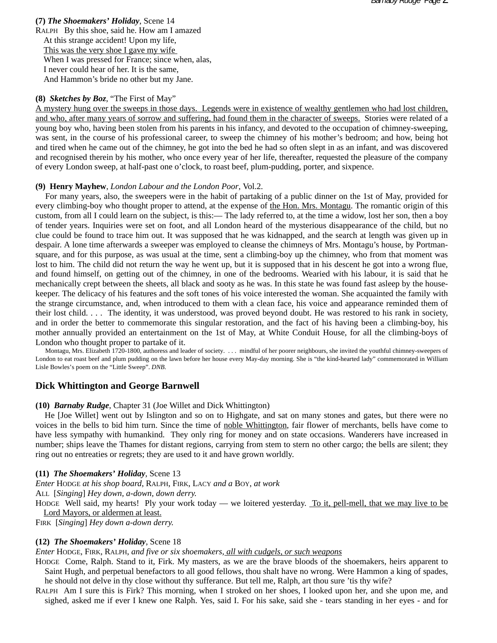**(7)** *The Shoemakers' Holiday*, Scene 14 RALPH By this shoe, said he. How am I amazed At this strange accident! Upon my life, This was the very shoe I gave my wife When I was pressed for France; since when, alas, I never could hear of her. It is the same, And Hammon's bride no other but my Jane.

#### **(8)** *Sketches by Boz*, "The First of May"

A mystery hung over the sweeps in those days. Legends were in existence of wealthy gentlemen who had lost children, and who, after many years of sorrow and suffering, had found them in the character of sweeps. Stories were related of a young boy who, having been stolen from his parents in his infancy, and devoted to the occupation of chimney-sweeping, was sent, in the course of his professional career, to sweep the chimney of his mother's bedroom; and how, being hot and tired when he came out of the chimney, he got into the bed he had so often slept in as an infant, and was discovered and recognised therein by his mother, who once every year of her life, thereafter, requested the pleasure of the company of every London sweep, at half-past one o'clock, to roast beef, plum-pudding, porter, and sixpence.

#### **(9) Henry Mayhew**, *London Labour and the London Poor*, Vol.2.

For many years, also, the sweepers were in the habit of partaking of a public dinner on the 1st of May, provided for every climbing-boy who thought proper to attend, at the expense of the Hon. Mrs. Montagu. The romantic origin of this custom, from all I could learn on the subject, is this:–– The lady referred to, at the time a widow, lost her son, then a boy of tender years. Inquiries were set on foot, and all London heard of the mysterious disappearance of the child, but no clue could be found to trace him out. It was supposed that he was kidnapped, and the search at length was given up in despair. A lone time afterwards a sweeper was employed to cleanse the chimneys of Mrs. Montagu's house, by Portmansquare, and for this purpose, as was usual at the time, sent a climbing-boy up the chimney, who from that moment was lost to him. The child did not return the way he went up, but it is supposed that in his descent he got into a wrong flue, and found himself, on getting out of the chimney, in one of the bedrooms. Wearied with his labour, it is said that he mechanically crept between the sheets, all black and sooty as he was. In this state he was found fast asleep by the housekeeper. The delicacy of his features and the soft tones of his voice interested the woman. She acquainted the family with the strange circumstance, and, when introduced to them with a clean face, his voice and appearance reminded them of their lost child. . . . The identity, it was understood, was proved beyond doubt. He was restored to his rank in society, and in order the better to commemorate this singular restoration, and the fact of his having been a climbing-boy, his mother annually provided an entertainment on the 1st of May, at White Conduit House, for all the climbing-boys of London who thought proper to partake of it.

Montagu, Mrs. Elizabeth 1720-1800, authoress and leader of society. . . . mindful of her poorer neighbours, she invited the youthful chimney-sweepers of London to eat roast beef and plum pudding on the lawn before her house every May-day morning. She is "the kind-hearted lady" commemorated in William Lisle Bowles's poem on the "Little Sweep". *DNB*.

### **Dick Whittington and George Barnwell**

#### **(10)** *Barnaby Rudge*, Chapter 31 (Joe Willet and Dick Whittington)

He [Joe Willet] went out by Islington and so on to Highgate, and sat on many stones and gates, but there were no voices in the bells to bid him turn. Since the time of noble Whittington, fair flower of merchants, bells have come to have less sympathy with humankind. They only ring for money and on state occasions. Wanderers have increased in number; ships leave the Thames for distant regions, carrying from stem to stern no other cargo; the bells are silent; they ring out no entreaties or regrets; they are used to it and have grown worldly.

#### **(11)** *The Shoemakers' Holiday*, Scene 13

*Enter* HODGE *at his shop board*, RALPH, FIRK, LACY *and a* BOY, *at work*

ALL [*Singing*] *Hey down, a-down, down derry.*

HODGE Well said, my hearts! Ply your work today — we loitered yesterday. To it, pell-mell, that we may live to be Lord Mayors, or aldermen at least.

FIRK [*Singing*] *Hey down a-down derry.*

#### **(12)** *The Shoemakers' Holiday*, Scene 18

*Enter* HODGE, FIRK, RALPH, *and five or six shoemakers, all with cudgels, or such weapons*

HODGE Come, Ralph. Stand to it, Firk. My masters, as we are the brave bloods of the shoemakers, heirs apparent to Saint Hugh, and perpetual benefactors to all good fellows, thou shalt have no wrong. Were Hammon a king of spades, he should not delve in thy close without thy sufferance. But tell me, Ralph, art thou sure 'tis thy wife?

RALPH Am I sure this is Firk? This morning, when I stroked on her shoes, I looked upon her, and she upon me, and sighed, asked me if ever I knew one Ralph. Yes, said I. For his sake, said she - tears standing in her eyes - and for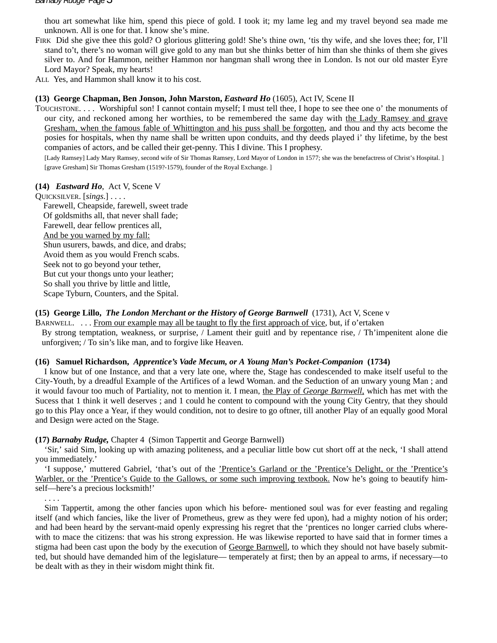thou art somewhat like him, spend this piece of gold. I took it; my lame leg and my travel beyond sea made me unknown. All is one for that. I know she's mine.

- FIRK Did she give thee this gold? O glorious glittering gold! She's thine own, 'tis thy wife, and she loves thee; for, I'll stand to't, there's no woman will give gold to any man but she thinks better of him than she thinks of them she gives silver to. And for Hammon, neither Hammon nor hangman shall wrong thee in London. Is not our old master Eyre Lord Mayor? Speak, my hearts!
- ALL Yes, and Hammon shall know it to his cost.

### **(13) George Chapman, Ben Jonson, John Marston,** *Eastward Ho* (1605), Act IV, Scene II

TOUCHSTONE. . . . Worshipful son! I cannot contain myself; I must tell thee, I hope to see thee one o' the monuments of our city, and reckoned among her worthies, to be remembered the same day with the Lady Ramsey and grave Gresham, when the famous fable of Whittington and his puss shall be forgotten, and thou and thy acts become the posies for hospitals, when thy name shall be written upon conduits, and thy deeds played i' thy lifetime, by the best companies of actors, and be called their get-penny. This I divine. This I prophesy.

[Lady Ramsey] Lady Mary Ramsey, second wife of Sir Thomas Ramsey, Lord Mayor of London in 1577; she was the benefactress of Christ's Hospital. ] [grave Gresham] Sir Thomas Gresham (1519?-1579), founder of the Royal Exchange. ]

### **(14)** *Eastward Ho*, Act V, Scene V

QUICKSILVER. [*sings*.] . . . . Farewell, Cheapside, farewell, sweet trade Of goldsmiths all, that never shall fade; Farewell, dear fellow prentices all, And be you warned by my fall: Shun usurers, bawds, and dice, and drabs; Avoid them as you would French scabs. Seek not to go beyond your tether, But cut your thongs unto your leather; So shall you thrive by little and little, Scape Tyburn, Counters, and the Spital.

## **(15) George Lillo,** *The London Merchant or the History of George Barnwell* (1731), Act V, Scene v

BARNWELL. . . . From our example may all be taught to fly the first approach of vice, but, if o'ertaken By strong temptation, weakness, or surprise, / Lament their guitl and by repentance rise, / Th'impenitent alone die unforgiven; / To sin's like man, and to forgive like Heaven.

## **(16) Samuel Richardson,** *Apprentice's Vade Mecum, or A Young Man's Pocket-Companion* **(1734)**

I know but of one Instance, and that a very late one, where the, Stage has condescended to make itself useful to the City-Youth, by a dreadful Example of the Artifices of a lewd Woman. and the Seduction of an unwary young Man ; and it would favour too much of Partiality, not to mention it. I mean, the Play of *George Barnwell,* which has met with the Sucess that 1 think it well deserves ; and 1 could he content to compound with the young City Gentry, that they should go to this Play once a Year, if they would condition, not to desire to go oftner, till another Play of an equally good Moral and Design were acted on the Stage.

**(17)** *Barnaby Rudge,* Chapter 4 (Simon Tappertit and George Barnwell)

'Sir,' said Sim, looking up with amazing politeness, and a peculiar little bow cut short off at the neck, 'I shall attend you immediately.'

'I suppose,' muttered Gabriel, 'that's out of the 'Prentice's Garland or the 'Prentice's Delight, or the 'Prentice's Warbler, or the 'Prentice's Guide to the Gallows, or some such improving textbook. Now he's going to beautify himself—here's a precious locksmith!'

. . . .

Sim Tappertit, among the other fancies upon which his before- mentioned soul was for ever feasting and regaling itself (and which fancies, like the liver of Prometheus, grew as they were fed upon), had a mighty notion of his order; and had been heard by the servant-maid openly expressing his regret that the 'prentices no longer carried clubs wherewith to mace the citizens: that was his strong expression. He was likewise reported to have said that in former times a stigma had been cast upon the body by the execution of George Barnwell, to which they should not have basely submitted, but should have demanded him of the legislature— temperately at first; then by an appeal to arms, if necessary—to be dealt with as they in their wisdom might think fit.